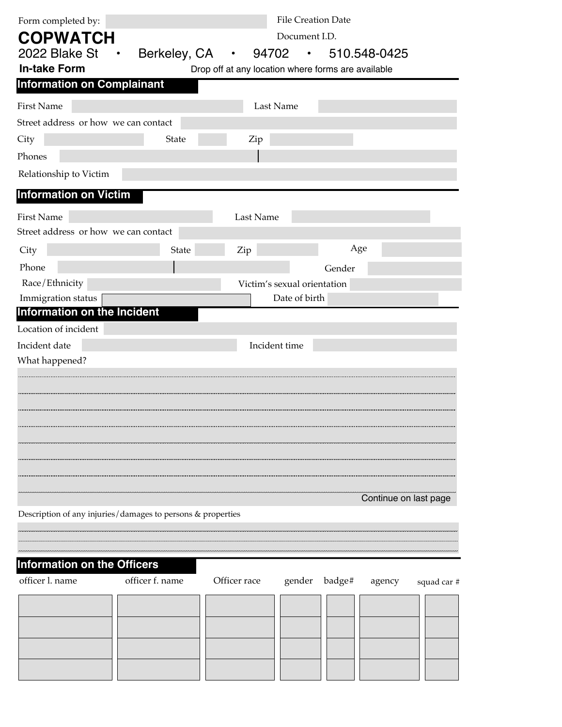| Form completed by:                                          | <b>File Creation Date</b><br>Document I.D. |                                                    |                             |                      |                       |             |
|-------------------------------------------------------------|--------------------------------------------|----------------------------------------------------|-----------------------------|----------------------|-----------------------|-------------|
| <b>COPWATCH</b>                                             |                                            |                                                    |                             |                      |                       |             |
| 2022 Blake St $\cdot$                                       | Berkeley, CA                               | 94702<br>$\bullet$                                 |                             | $\cdot$ 510.548-0425 |                       |             |
| <b>In-take Form</b>                                         |                                            | Drop off at any location where forms are available |                             |                      |                       |             |
| <b>Information on Complainant</b>                           |                                            |                                                    |                             |                      |                       |             |
| <b>First Name</b>                                           |                                            |                                                    | Last Name                   |                      |                       |             |
| Street address or how we can contact                        |                                            |                                                    |                             |                      |                       |             |
| City                                                        | State                                      | Zip                                                |                             |                      |                       |             |
| Phones                                                      |                                            |                                                    |                             |                      |                       |             |
| Relationship to Victim                                      |                                            |                                                    |                             |                      |                       |             |
| <b>Information on Victim</b>                                |                                            |                                                    |                             |                      |                       |             |
| <b>First Name</b>                                           |                                            | Last Name                                          |                             |                      |                       |             |
| Street address or how we can contact                        |                                            |                                                    |                             |                      |                       |             |
| City                                                        | State                                      | Zip                                                |                             | Age                  |                       |             |
| Phone                                                       |                                            |                                                    |                             | Gender               |                       |             |
| Race/Ethnicity                                              |                                            |                                                    | Victim's sexual orientation |                      |                       |             |
| Immigration status                                          |                                            |                                                    | Date of birth               |                      |                       |             |
| Information on the Incident                                 |                                            |                                                    |                             |                      |                       |             |
| Location of incident                                        |                                            |                                                    |                             |                      |                       |             |
| Incident date                                               |                                            |                                                    | Incident time               |                      |                       |             |
| What happened?                                              |                                            |                                                    |                             |                      |                       |             |
|                                                             |                                            |                                                    |                             |                      |                       |             |
|                                                             |                                            |                                                    |                             |                      |                       |             |
|                                                             |                                            |                                                    |                             |                      |                       |             |
|                                                             |                                            |                                                    |                             |                      |                       |             |
|                                                             |                                            |                                                    |                             |                      |                       |             |
|                                                             |                                            |                                                    |                             |                      |                       |             |
|                                                             |                                            |                                                    |                             |                      |                       |             |
|                                                             |                                            |                                                    |                             |                      |                       |             |
|                                                             |                                            |                                                    |                             |                      | Continue on last page |             |
| Description of any injuries/damages to persons & properties |                                            |                                                    |                             |                      |                       |             |
|                                                             |                                            |                                                    |                             |                      |                       |             |
|                                                             |                                            |                                                    |                             |                      |                       |             |
| <b>Information on the Officers</b>                          |                                            |                                                    |                             |                      |                       |             |
| officer l. name                                             | officer f. name                            | Officer race                                       |                             | gender badge# agency |                       | squad car # |
|                                                             |                                            |                                                    |                             |                      |                       |             |
|                                                             |                                            |                                                    |                             |                      |                       |             |
|                                                             |                                            |                                                    |                             |                      |                       |             |
|                                                             |                                            |                                                    |                             |                      |                       |             |
|                                                             |                                            |                                                    |                             |                      |                       |             |
|                                                             |                                            |                                                    |                             |                      |                       |             |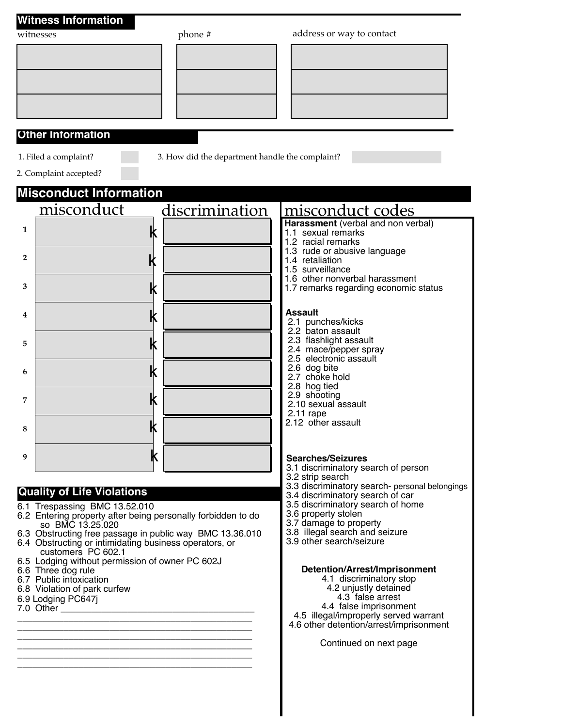|                | <b>Witness Information</b>                                                                                         |                                                 |                                                                                    |  |  |  |
|----------------|--------------------------------------------------------------------------------------------------------------------|-------------------------------------------------|------------------------------------------------------------------------------------|--|--|--|
|                | witnesses                                                                                                          | phone #                                         | address or way to contact                                                          |  |  |  |
|                |                                                                                                                    |                                                 |                                                                                    |  |  |  |
|                |                                                                                                                    |                                                 |                                                                                    |  |  |  |
|                |                                                                                                                    |                                                 |                                                                                    |  |  |  |
|                |                                                                                                                    |                                                 |                                                                                    |  |  |  |
|                |                                                                                                                    |                                                 |                                                                                    |  |  |  |
|                | <b>Other Information</b>                                                                                           |                                                 |                                                                                    |  |  |  |
|                | 1. Filed a complaint?                                                                                              | 3. How did the department handle the complaint? |                                                                                    |  |  |  |
|                | 2. Complaint accepted?                                                                                             |                                                 |                                                                                    |  |  |  |
|                | <b>Misconduct Information</b>                                                                                      |                                                 |                                                                                    |  |  |  |
|                | misconduct                                                                                                         | discrimination                                  | misconduct codes                                                                   |  |  |  |
| $\mathbf{1}$   | k                                                                                                                  |                                                 | Harassment (verbal and non verbal)<br>1.1 sexual remarks                           |  |  |  |
|                |                                                                                                                    |                                                 | 1.2 racial remarks                                                                 |  |  |  |
| $\overline{2}$ | k                                                                                                                  |                                                 | 1.3 rude or abusive language<br>1.4 retaliation                                    |  |  |  |
|                |                                                                                                                    |                                                 | 1.5 surveillance<br>1.6 other nonverbal harassment                                 |  |  |  |
| 3              | k                                                                                                                  |                                                 | 1.7 remarks regarding economic status                                              |  |  |  |
| 4              | k                                                                                                                  |                                                 | Assault                                                                            |  |  |  |
|                |                                                                                                                    |                                                 | 2.1 punches/kicks<br>2.2 baton assault                                             |  |  |  |
| 5              | k                                                                                                                  |                                                 | 2.3 flashlight assault<br>2.4 mace/pepper spray                                    |  |  |  |
| 6              | k                                                                                                                  |                                                 | 2.5 electronic assault<br>2.6 dog bite                                             |  |  |  |
|                |                                                                                                                    |                                                 | 2.7 choke hold<br>2.8 hog tied                                                     |  |  |  |
| 7              | k                                                                                                                  |                                                 | 2.9 shooting<br>2.10 sexual assault                                                |  |  |  |
|                | ⊮                                                                                                                  |                                                 | $2.11$ rape<br>2.12 other assault                                                  |  |  |  |
| 8              | IN                                                                                                                 |                                                 |                                                                                    |  |  |  |
| 9              | Κ                                                                                                                  |                                                 | <b>Searches/Seizures</b>                                                           |  |  |  |
|                |                                                                                                                    |                                                 | 3.1 discriminatory search of person<br>3.2 strip search                            |  |  |  |
|                | <b>Quality of Life Violations</b>                                                                                  |                                                 | 3.3 discriminatory search- personal belongings<br>3.4 discriminatory search of car |  |  |  |
|                | 6.1 Trespassing BMC 13.52.010                                                                                      |                                                 | 3.5 discriminatory search of home                                                  |  |  |  |
|                | 6.2 Entering property after being personally forbidden to do<br>so BMC 13.25.020                                   |                                                 | 3.6 property stolen<br>3.7 damage to property                                      |  |  |  |
|                | 6.3 Obstructing free passage in public way BMC 13.36.010<br>6.4 Obstructing or intimidating business operators, or |                                                 | 3.8 illegal search and seizure<br>3.9 other search/seizure                         |  |  |  |
|                | customers PC 602.1<br>6.5 Lodging without permission of owner PC 602J                                              |                                                 |                                                                                    |  |  |  |
|                | 6.6 Three dog rule<br>6.7 Public intoxication                                                                      |                                                 | Detention/Arrest/Imprisonment<br>4.1 discriminatory stop                           |  |  |  |
|                | 6.8 Violation of park curfew<br>6.9 Lodging PC647j                                                                 |                                                 | 4.2 unjustly detained<br>4.3 false arrest                                          |  |  |  |
|                | 7.0 Other                                                                                                          |                                                 | 4.4 false imprisonment<br>4.5 illegal/improperly served warrant                    |  |  |  |
|                |                                                                                                                    |                                                 | 4.6 other detention/arrest/imprisonment                                            |  |  |  |
|                |                                                                                                                    |                                                 | Continued on next page                                                             |  |  |  |
|                |                                                                                                                    |                                                 |                                                                                    |  |  |  |
|                |                                                                                                                    |                                                 |                                                                                    |  |  |  |